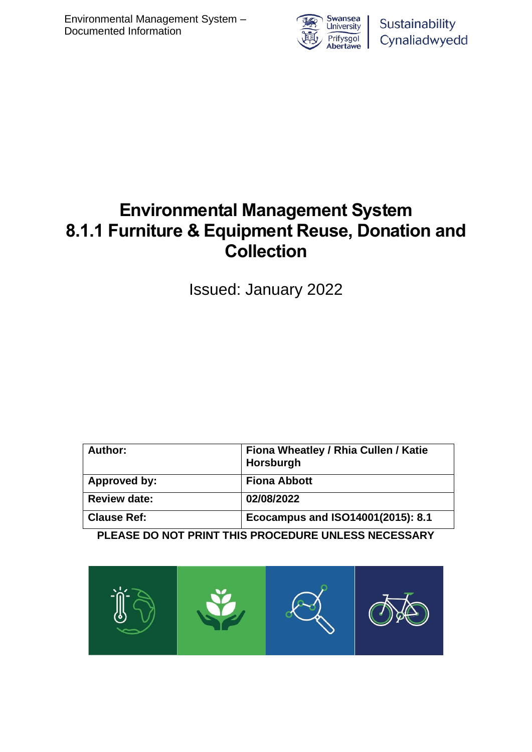

Sustainability Cynaliadwyedd

# **Environmental Management System 8.1.1 Furniture & Equipment Reuse, Donation and Collection**

Issued: January 2022

| Author:             | Fiona Wheatley / Rhia Cullen / Katie<br>Horsburgh |
|---------------------|---------------------------------------------------|
| Approved by:        | <b>Fiona Abbott</b>                               |
| <b>Review date:</b> | 02/08/2022                                        |
| <b>Clause Ref:</b>  | Ecocampus and ISO14001(2015): 8.1                 |

**PLEASE DO NOT PRINT THIS PROCEDURE UNLESS NECESSARY**

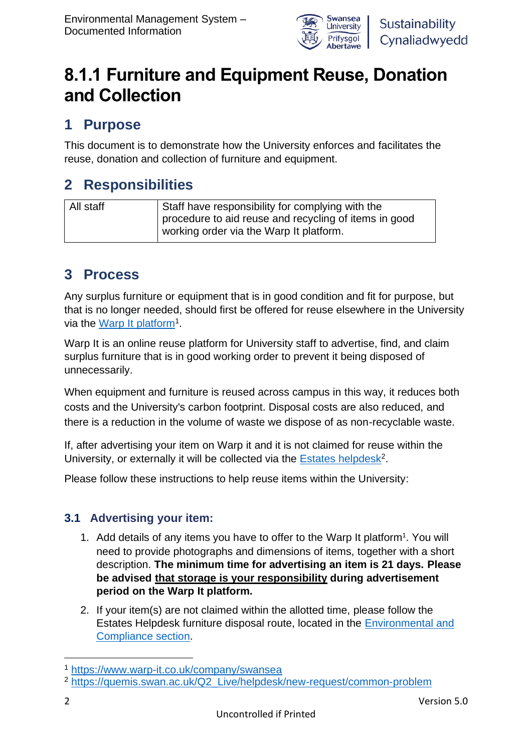

# **8.1.1 Furniture and Equipment Reuse, Donation and Collection**

## **1 Purpose**

This document is to demonstrate how the University enforces and facilitates the reuse, donation and collection of furniture and equipment.

# **2 Responsibilities**

| All staff | Staff have responsibility for complying with the      |
|-----------|-------------------------------------------------------|
|           | procedure to aid reuse and recycling of items in good |
|           | working order via the Warp It platform.               |

### **3 Process**

Any surplus furniture or equipment that is in good condition and fit for purpose, but that is no longer needed, should first be offered for reuse elsewhere in the University via the [Warp It platform](https://www.warp-it.co.uk/company/swansea)<sup>1</sup>.

<span id="page-1-0"></span>Warp It is an online reuse platform for University staff to advertise, find, and claim surplus furniture that is in good working order to prevent it being disposed of unnecessarily.

When equipment and furniture is reused across campus in this way, it reduces both costs and the University's carbon footprint. Disposal costs are also reduced, and there is a reduction in the volume of waste we dispose of as non-recyclable waste.

If, after advertising your item on Warp it and it is not claimed for reuse within the University, or externally it will be collected via the **Estates helpdesk<sup>2</sup>.** 

Please follow these instructions to help reuse items within the University:

### **3.1 Advertising your item:**

- [1](#page-1-0). Add details of any items you have to offer to the Warp It platform<sup>1</sup>. You will need to provide photographs and dimensions of items, together with a short description. **The minimum time for advertising an item is 21 days. Please be advised that storage is your responsibility during advertisement period on the Warp It platform.**
- 2. If your item(s) are not claimed within the allotted time, please follow the Estates Helpdesk furniture disposal route, located in the [Environmental and](https://quemis.swan.ac.uk/Q2_Live/helpdesk/new-request/common-problem)  [Compliance section.](https://quemis.swan.ac.uk/Q2_Live/helpdesk/new-request/common-problem)

<sup>1</sup> <https://www.warp-it.co.uk/company/swansea>

<sup>2</sup> [https://quemis.swan.ac.uk/Q2\\_Live/helpdesk/new-request/common-problem](https://quemis.swan.ac.uk/Q2_Live/helpdesk/new-request/common-problem)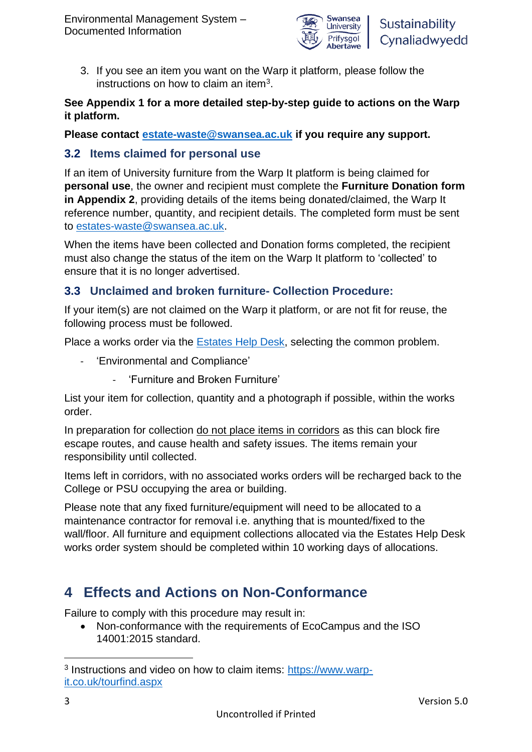

3. If you see an item you want on the Warp it platform, please follow the instructions on how to claim an item<sup>3</sup>.

#### **See Appendix 1 for a more detailed step-by-step guide to actions on the Warp it platform.**

**Please contact [estate-waste@swansea.ac.uk](mailto:estate-waste@swansea.ac.uk) if you require any support.** 

#### **3.2 Items claimed for personal use**

If an item of University furniture from the Warp It platform is being claimed for **personal use**, the owner and recipient must complete the **Furniture Donation form in Appendix 2**, providing details of the items being donated/claimed, the Warp It reference number, quantity, and recipient details. The completed form must be sent to [estates-waste@swansea.ac.uk.](mailto:estates-waste@swansea.ac.uk)

When the items have been collected and Donation forms completed, the recipient must also change the status of the item on the Warp It platform to 'collected' to ensure that it is no longer advertised.

### **3.3 Unclaimed and broken furniture- Collection Procedure:**

If your item(s) are not claimed on the Warp it platform, or are not fit for reuse, the following process must be followed.

Place a works order via the [Estates Help Desk,](https://quemis.swan.ac.uk/Q2_Live/helpdesk/new-request/common-problem) selecting the common problem.

- 'Environmental and Compliance'
	- 'Furniture and Broken Furniture'

List your item for collection, quantity and a photograph if possible, within the works order.

In preparation for collection do not place items in corridors as this can block fire escape routes, and cause health and safety issues. The items remain your responsibility until collected.

Items left in corridors, with no associated works orders will be recharged back to the College or PSU occupying the area or building.

Please note that any fixed furniture/equipment will need to be allocated to a maintenance contractor for removal i.e. anything that is mounted/fixed to the wall/floor. All furniture and equipment collections allocated via the Estates Help Desk works order system should be completed within 10 working days of allocations.

# **4 Effects and Actions on Non-Conformance**

Failure to comply with this procedure may result in:

• Non-conformance with the requirements of EcoCampus and the ISO 14001:2015 standard.

<sup>&</sup>lt;sup>3</sup> Instructions and video on how to claim items: [https://www.warp](https://www.warp-it.co.uk/tourfind.aspx)[it.co.uk/tourfind.aspx](https://www.warp-it.co.uk/tourfind.aspx)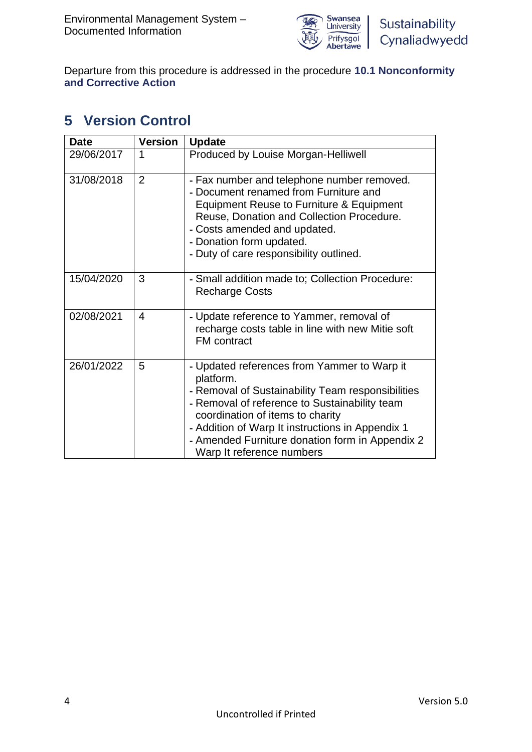

Departure from this procedure is addressed in the procedure **10.1 Nonconformity and Corrective Action**

# **5 Version Control**

| <b>Date</b> | <b>Version</b> | <b>Update</b>                                                                                                                                                                                                                                                                                                                          |
|-------------|----------------|----------------------------------------------------------------------------------------------------------------------------------------------------------------------------------------------------------------------------------------------------------------------------------------------------------------------------------------|
| 29/06/2017  | 1              | Produced by Louise Morgan-Helliwell                                                                                                                                                                                                                                                                                                    |
| 31/08/2018  | $\overline{2}$ | - Fax number and telephone number removed.<br>- Document renamed from Furniture and<br>Equipment Reuse to Furniture & Equipment<br>Reuse, Donation and Collection Procedure.<br>- Costs amended and updated.<br>- Donation form updated.<br>- Duty of care responsibility outlined.                                                    |
| 15/04/2020  | 3              | - Small addition made to; Collection Procedure:<br><b>Recharge Costs</b>                                                                                                                                                                                                                                                               |
| 02/08/2021  | 4              | - Update reference to Yammer, removal of<br>recharge costs table in line with new Mitie soft<br><b>FM</b> contract                                                                                                                                                                                                                     |
| 26/01/2022  | 5              | - Updated references from Yammer to Warp it<br>platform.<br>- Removal of Sustainability Team responsibilities<br>- Removal of reference to Sustainability team<br>coordination of items to charity<br>- Addition of Warp It instructions in Appendix 1<br>- Amended Furniture donation form in Appendix 2<br>Warp It reference numbers |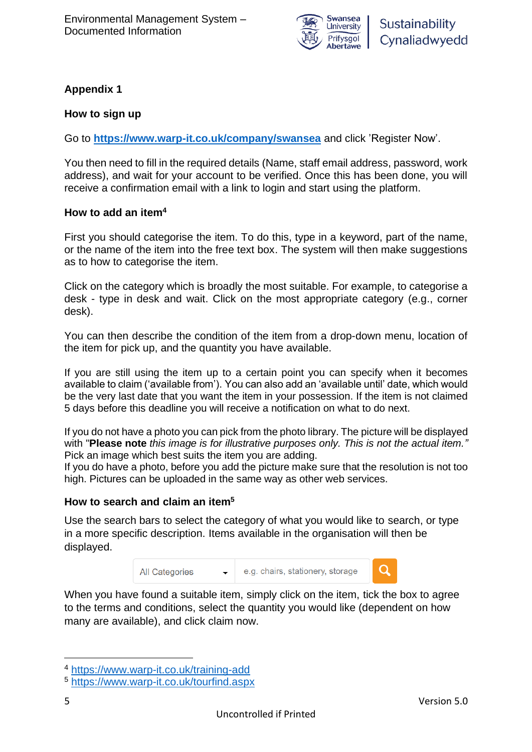

#### **Appendix 1**

#### **How to sign up**

Go to **<https://www.warp-it.co.uk/company/swansea>** and click 'Register Now'.

You then need to fill in the required details (Name, staff email address, password, work address), and wait for your account to be verified. Once this has been done, you will receive a confirmation email with a link to login and start using the platform.

#### **How to add an item<sup>4</sup>**

First you should categorise the item. To do this, type in a keyword, part of the name, or the name of the item into the free text box. The system will then make suggestions as to how to categorise the item.

Click on the category which is broadly the most suitable. For example, to categorise a desk - type in desk and wait. Click on the most appropriate category (e.g., corner desk).

You can then describe the condition of the item from a drop-down menu, location of the item for pick up, and the quantity you have available.

If you are still using the item up to a certain point you can specify when it becomes available to claim ('available from'). You can also add an 'available until' date, which would be the very last date that you want the item in your possession. If the item is not claimed 5 days before this deadline you will receive a notification on what to do next.

If you do not have a photo you can pick from the photo library. The picture will be displayed with "**Please note** *this image is for illustrative purposes only. This is not the actual item."* Pick an image which best suits the item you are adding.

If you do have a photo, before you add the picture make sure that the resolution is not too high. Pictures can be uploaded in the same way as other web services.

#### **How to search and claim an item<sup>5</sup>**

Use the search bars to select the category of what you would like to search, or type in a more specific description. Items available in the organisation will then be displayed.



When you have found a suitable item, simply click on the item, tick the box to agree to the terms and conditions, select the quantity you would like (dependent on how many are available), and click claim now.

<sup>4</sup> <https://www.warp-it.co.uk/training-add>

<sup>5</sup> <https://www.warp-it.co.uk/tourfind.aspx>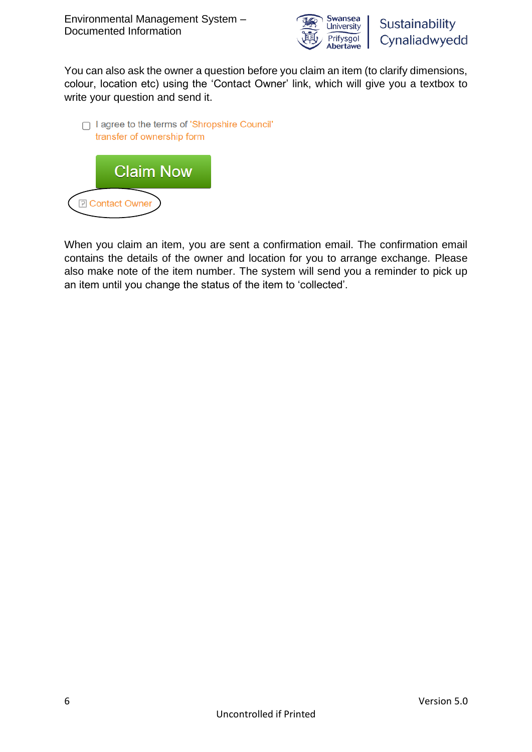

You can also ask the owner a question before you claim an item (to clarify dimensions, colour, location etc) using the 'Contact Owner' link, which will give you a textbox to write your question and send it.



When you claim an item, you are sent a confirmation email. The confirmation email contains the details of the owner and location for you to arrange exchange. Please also make note of the item number. The system will send you a reminder to pick up an item until you change the status of the item to 'collected'.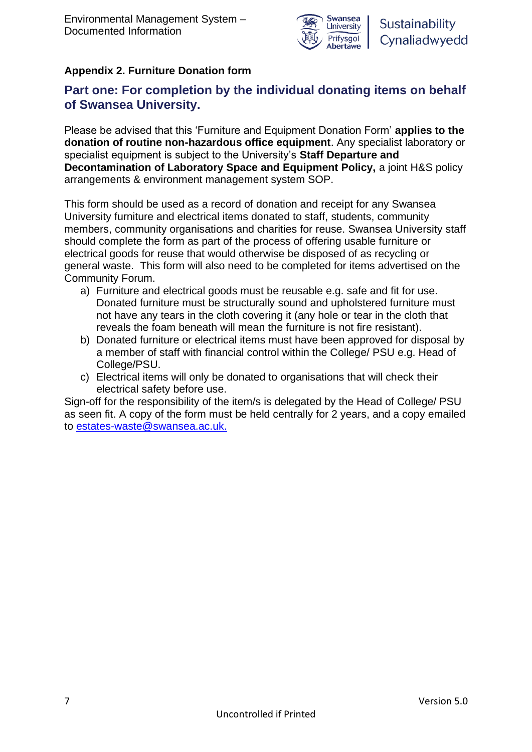

### **Appendix 2. Furniture Donation form**

### **Part one: For completion by the individual donating items on behalf of Swansea University.**

Please be advised that this 'Furniture and Equipment Donation Form' **applies to the donation of routine non-hazardous office equipment**. Any specialist laboratory or specialist equipment is subject to the University's **Staff Departure and Decontamination of Laboratory Space and Equipment Policy,** a joint H&S policy arrangements & environment management system SOP.

This form should be used as a record of donation and receipt for any Swansea University furniture and electrical items donated to staff, students, community members, community organisations and charities for reuse. Swansea University staff should complete the form as part of the process of offering usable furniture or electrical goods for reuse that would otherwise be disposed of as recycling or general waste. This form will also need to be completed for items advertised on the Community Forum.

- a) Furniture and electrical goods must be reusable e.g. safe and fit for use. Donated furniture must be structurally sound and upholstered furniture must not have any tears in the cloth covering it (any hole or tear in the cloth that reveals the foam beneath will mean the furniture is not fire resistant).
- b) Donated furniture or electrical items must have been approved for disposal by a member of staff with financial control within the College/ PSU e.g. Head of College/PSU.
- c) Electrical items will only be donated to organisations that will check their electrical safety before use.

Sign-off for the responsibility of the item/s is delegated by the Head of College/ PSU as seen fit. A copy of the form must be held centrally for 2 years, and a copy emailed to [estates-waste@swansea.ac.uk.](mailto:estates-waste@swansea.ac.uk)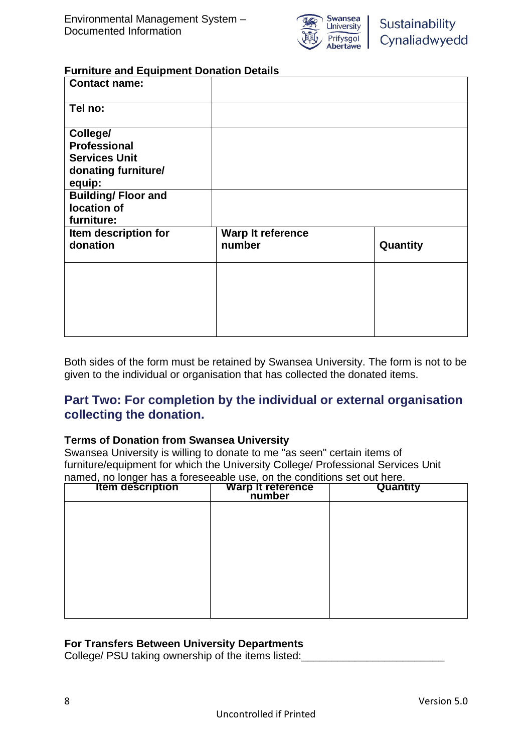

#### **Furniture and Equipment Donation Details**

| <b>Contact name:</b>                                                                     |                             |          |
|------------------------------------------------------------------------------------------|-----------------------------|----------|
| Tel no:                                                                                  |                             |          |
| College/<br><b>Professional</b><br><b>Services Unit</b><br>donating furniture/<br>equip: |                             |          |
| <b>Building/Floor and</b><br>location of<br>furniture:                                   |                             |          |
| Item description for<br>donation                                                         | Warp It reference<br>number | Quantity |
|                                                                                          |                             |          |
|                                                                                          |                             |          |

Both sides of the form must be retained by Swansea University. The form is not to be given to the individual or organisation that has collected the donated items.

#### **Part Two: For completion by the individual or external organisation collecting the donation.**

#### **Terms of Donation from Swansea University**

Swansea University is willing to donate to me "as seen" certain items of furniture/equipment for which the University College/ Professional Services Unit named, no longer has a foreseeable use, on the conditions set out here.

| <b>Item description</b> | Warp It reference | Quantity |
|-------------------------|-------------------|----------|
|                         |                   |          |
|                         |                   |          |
|                         |                   |          |
|                         |                   |          |
|                         |                   |          |
|                         |                   |          |
|                         |                   |          |

#### **For Transfers Between University Departments**

College/ PSU taking ownership of the items listed: